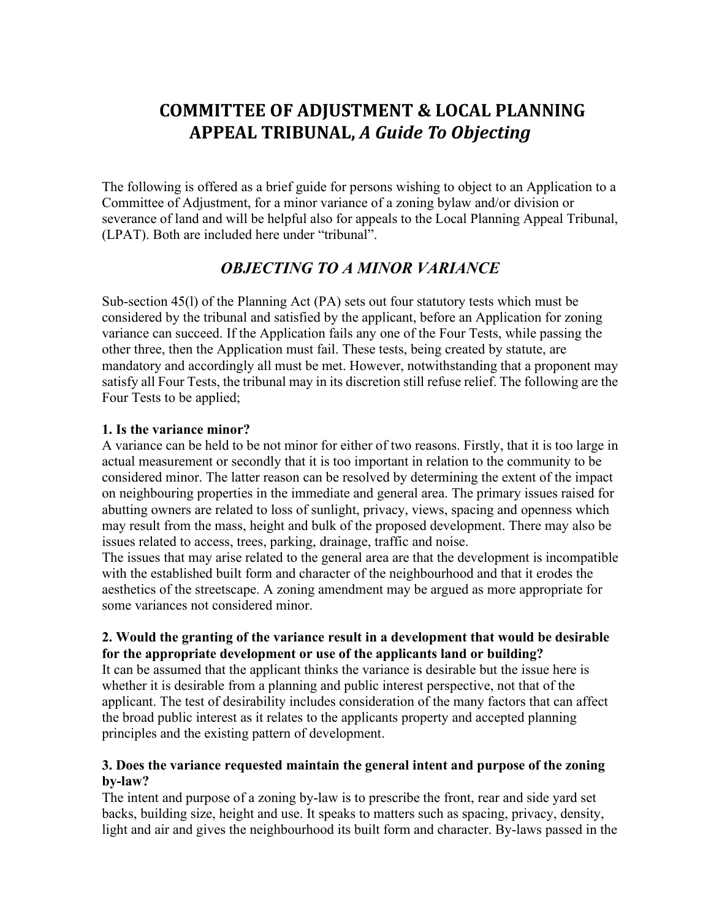# **COMMITTEE OF ADJUSTMENT & LOCAL PLANNING APPEAL TRIBUNAL,** *A Guide To Objecting*

The following is offered as a brief guide for persons wishing to object to an Application to a Committee of Adjustment, for a minor variance of a zoning bylaw and/or division or severance of land and will be helpful also for appeals to the Local Planning Appeal Tribunal, (LPAT). Both are included here under "tribunal".

# *OBJECTING TO A MINOR VARIANCE*

Sub-section 45(l) of the Planning Act (PA) sets out four statutory tests which must be considered by the tribunal and satisfied by the applicant, before an Application for zoning variance can succeed. If the Application fails any one of the Four Tests, while passing the other three, then the Application must fail. These tests, being created by statute, are mandatory and accordingly all must be met. However, notwithstanding that a proponent may satisfy all Four Tests, the tribunal may in its discretion still refuse relief. The following are the Four Tests to be applied;

#### **1. Is the variance minor?**

A variance can be held to be not minor for either of two reasons. Firstly, that it is too large in actual measurement or secondly that it is too important in relation to the community to be considered minor. The latter reason can be resolved by determining the extent of the impact on neighbouring properties in the immediate and general area. The primary issues raised for abutting owners are related to loss of sunlight, privacy, views, spacing and openness which may result from the mass, height and bulk of the proposed development. There may also be issues related to access, trees, parking, drainage, traffic and noise.

The issues that may arise related to the general area are that the development is incompatible with the established built form and character of the neighbourhood and that it erodes the aesthetics of the streetscape. A zoning amendment may be argued as more appropriate for some variances not considered minor.

# **2. Would the granting of the variance result in a development that would be desirable for the appropriate development or use of the applicants land or building?**

It can be assumed that the applicant thinks the variance is desirable but the issue here is whether it is desirable from a planning and public interest perspective, not that of the applicant. The test of desirability includes consideration of the many factors that can affect the broad public interest as it relates to the applicants property and accepted planning principles and the existing pattern of development.

### **3. Does the variance requested maintain the general intent and purpose of the zoning by-law?**

The intent and purpose of a zoning by-law is to prescribe the front, rear and side yard set backs, building size, height and use. It speaks to matters such as spacing, privacy, density, light and air and gives the neighbourhood its built form and character. By-laws passed in the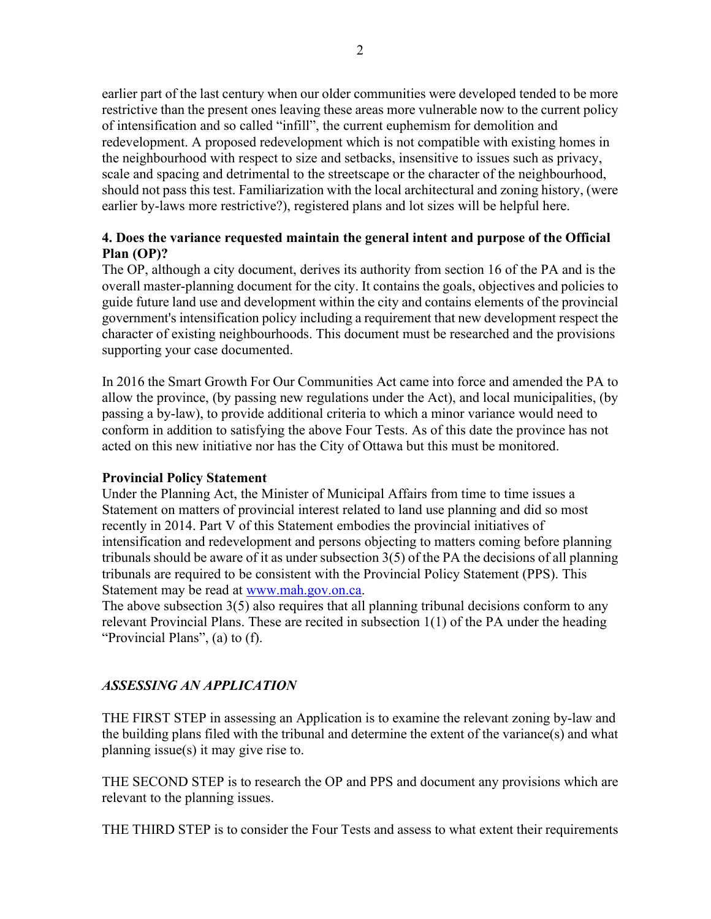earlier part of the last century when our older communities were developed tended to be more restrictive than the present ones leaving these areas more vulnerable now to the current policy of intensification and so called "infill", the current euphemism for demolition and redevelopment. A proposed redevelopment which is not compatible with existing homes in the neighbourhood with respect to size and setbacks, insensitive to issues such as privacy, scale and spacing and detrimental to the streetscape or the character of the neighbourhood, should not pass this test. Familiarization with the local architectural and zoning history, (were earlier by-laws more restrictive?), registered plans and lot sizes will be helpful here.

### **4. Does the variance requested maintain the general intent and purpose of the Official Plan (OP)?**

The OP, although a city document, derives its authority from section 16 of the PA and is the overall master-planning document for the city. It contains the goals, objectives and policies to guide future land use and development within the city and contains elements of the provincial government's intensification policy including a requirement that new development respect the character of existing neighbourhoods. This document must be researched and the provisions supporting your case documented.

In 2016 the Smart Growth For Our Communities Act came into force and amended the PA to allow the province, (by passing new regulations under the Act), and local municipalities, (by passing a by-law), to provide additional criteria to which a minor variance would need to conform in addition to satisfying the above Four Tests. As of this date the province has not acted on this new initiative nor has the City of Ottawa but this must be monitored.

#### **Provincial Policy Statement**

Under the Planning Act, the Minister of Municipal Affairs from time to time issues a Statement on matters of provincial interest related to land use planning and did so most recently in 2014. Part V of this Statement embodies the provincial initiatives of intensification and redevelopment and persons objecting to matters coming before planning tribunals should be aware of it as under subsection 3(5) of the PA the decisions of all planning tribunals are required to be consistent with the Provincial Policy Statement (PPS). This Statement may be read at [www.mah.gov.on.ca.](http://www.mah.gov.on.ca/)

The above subsection 3(5) also requires that all planning tribunal decisions conform to any relevant Provincial Plans. These are recited in subsection 1(1) of the PA under the heading "Provincial Plans", (a) to (f).

#### *ASSESSING AN APPLICATION*

THE FIRST STEP in assessing an Application is to examine the relevant zoning by-law and the building plans filed with the tribunal and determine the extent of the variance(s) and what planning issue(s) it may give rise to.

THE SECOND STEP is to research the OP and PPS and document any provisions which are relevant to the planning issues.

THE THIRD STEP is to consider the Four Tests and assess to what extent their requirements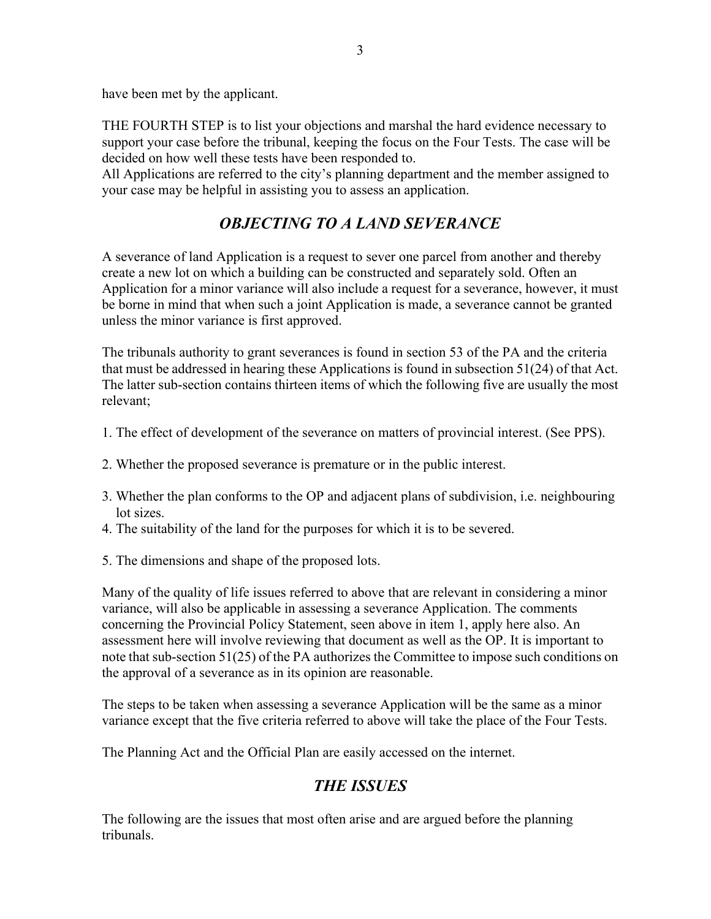have been met by the applicant.

THE FOURTH STEP is to list your objections and marshal the hard evidence necessary to support your case before the tribunal, keeping the focus on the Four Tests. The case will be decided on how well these tests have been responded to.

All Applications are referred to the city's planning department and the member assigned to your case may be helpful in assisting you to assess an application.

# *OBJECTING TO A LAND SEVERANCE*

A severance of land Application is a request to sever one parcel from another and thereby create a new lot on which a building can be constructed and separately sold. Often an Application for a minor variance will also include a request for a severance, however, it must be borne in mind that when such a joint Application is made, a severance cannot be granted unless the minor variance is first approved.

The tribunals authority to grant severances is found in section 53 of the PA and the criteria that must be addressed in hearing these Applications is found in subsection 51(24) of that Act. The latter sub-section contains thirteen items of which the following five are usually the most relevant;

- 1. The effect of development of the severance on matters of provincial interest. (See PPS).
- 2. Whether the proposed severance is premature or in the public interest.
- 3. Whether the plan conforms to the OP and adjacent plans of subdivision, i.e. neighbouring lot sizes.
- 4. The suitability of the land for the purposes for which it is to be severed.
- 5. The dimensions and shape of the proposed lots.

Many of the quality of life issues referred to above that are relevant in considering a minor variance, will also be applicable in assessing a severance Application. The comments concerning the Provincial Policy Statement, seen above in item 1, apply here also. An assessment here will involve reviewing that document as well as the OP. It is important to note that sub-section 51(25) of the PA authorizes the Committee to impose such conditions on the approval of a severance as in its opinion are reasonable.

The steps to be taken when assessing a severance Application will be the same as a minor variance except that the five criteria referred to above will take the place of the Four Tests.

The Planning Act and the Official Plan are easily accessed on the internet.

# *THE ISSUES*

The following are the issues that most often arise and are argued before the planning tribunals.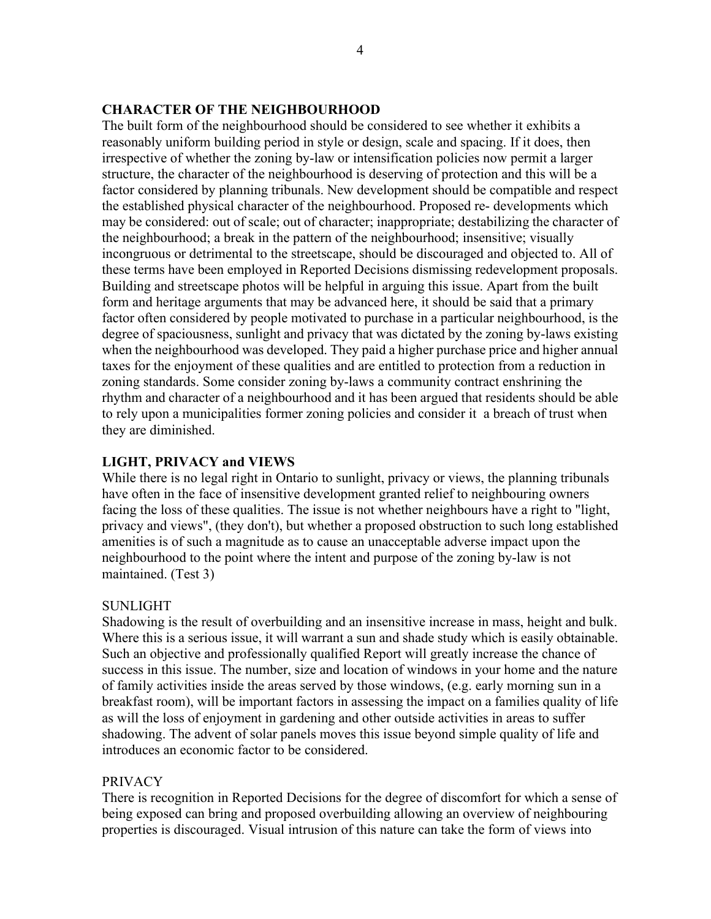#### **CHARACTER OF THE NEIGHBOURHOOD**

The built form of the neighbourhood should be considered to see whether it exhibits a reasonably uniform building period in style or design, scale and spacing. If it does, then irrespective of whether the zoning by-law or intensification policies now permit a larger structure, the character of the neighbourhood is deserving of protection and this will be a factor considered by planning tribunals. New development should be compatible and respect the established physical character of the neighbourhood. Proposed re- developments which may be considered: out of scale; out of character; inappropriate; destabilizing the character of the neighbourhood; a break in the pattern of the neighbourhood; insensitive; visually incongruous or detrimental to the streetscape, should be discouraged and objected to. All of these terms have been employed in Reported Decisions dismissing redevelopment proposals. Building and streetscape photos will be helpful in arguing this issue. Apart from the built form and heritage arguments that may be advanced here, it should be said that a primary factor often considered by people motivated to purchase in a particular neighbourhood, is the degree of spaciousness, sunlight and privacy that was dictated by the zoning by-laws existing when the neighbourhood was developed. They paid a higher purchase price and higher annual taxes for the enjoyment of these qualities and are entitled to protection from a reduction in zoning standards. Some consider zoning by-laws a community contract enshrining the rhythm and character of a neighbourhood and it has been argued that residents should be able to rely upon a municipalities former zoning policies and consider it a breach of trust when they are diminished.

#### **LIGHT, PRIVACY and VIEWS**

While there is no legal right in Ontario to sunlight, privacy or views, the planning tribunals have often in the face of insensitive development granted relief to neighbouring owners facing the loss of these qualities. The issue is not whether neighbours have a right to "light, privacy and views", (they don't), but whether a proposed obstruction to such long established amenities is of such a magnitude as to cause an unacceptable adverse impact upon the neighbourhood to the point where the intent and purpose of the zoning by-law is not maintained. (Test 3)

#### SUNLIGHT

Shadowing is the result of overbuilding and an insensitive increase in mass, height and bulk. Where this is a serious issue, it will warrant a sun and shade study which is easily obtainable. Such an objective and professionally qualified Report will greatly increase the chance of success in this issue. The number, size and location of windows in your home and the nature of family activities inside the areas served by those windows, (e.g. early morning sun in a breakfast room), will be important factors in assessing the impact on a families quality of life as will the loss of enjoyment in gardening and other outside activities in areas to suffer shadowing. The advent of solar panels moves this issue beyond simple quality of life and introduces an economic factor to be considered.

#### PRIVACY

There is recognition in Reported Decisions for the degree of discomfort for which a sense of being exposed can bring and proposed overbuilding allowing an overview of neighbouring properties is discouraged. Visual intrusion of this nature can take the form of views into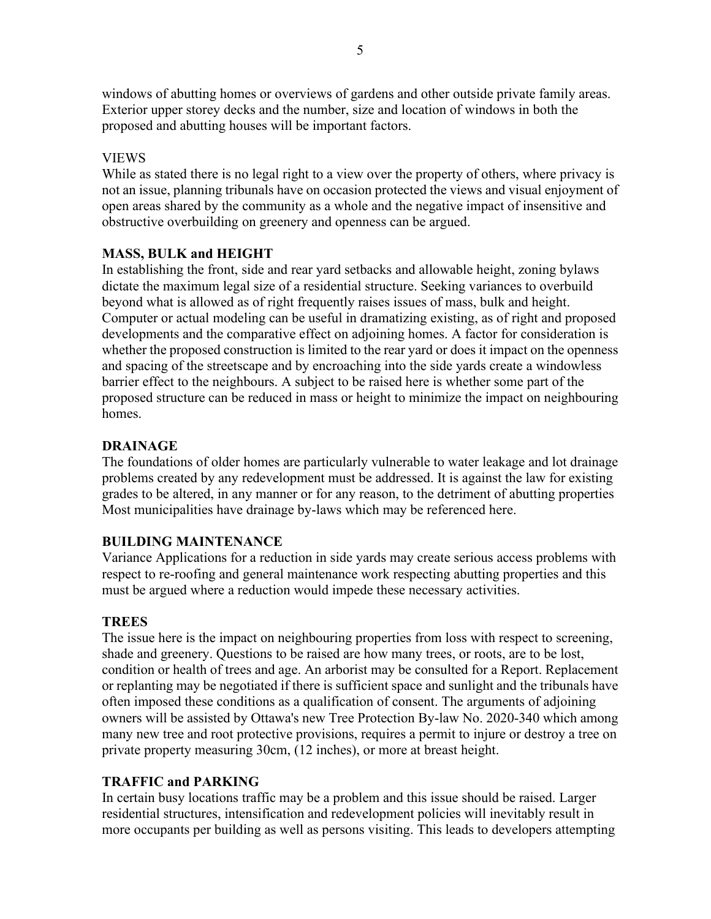windows of abutting homes or overviews of gardens and other outside private family areas. Exterior upper storey decks and the number, size and location of windows in both the proposed and abutting houses will be important factors.

#### VIEWS

While as stated there is no legal right to a view over the property of others, where privacy is not an issue, planning tribunals have on occasion protected the views and visual enjoyment of open areas shared by the community as a whole and the negative impact of insensitive and obstructive overbuilding on greenery and openness can be argued.

### **MASS, BULK and HEIGHT**

In establishing the front, side and rear yard setbacks and allowable height, zoning bylaws dictate the maximum legal size of a residential structure. Seeking variances to overbuild beyond what is allowed as of right frequently raises issues of mass, bulk and height. Computer or actual modeling can be useful in dramatizing existing, as of right and proposed developments and the comparative effect on adjoining homes. A factor for consideration is whether the proposed construction is limited to the rear yard or does it impact on the openness and spacing of the streetscape and by encroaching into the side yards create a windowless barrier effect to the neighbours. A subject to be raised here is whether some part of the proposed structure can be reduced in mass or height to minimize the impact on neighbouring homes.

#### **DRAINAGE**

The foundations of older homes are particularly vulnerable to water leakage and lot drainage problems created by any redevelopment must be addressed. It is against the law for existing grades to be altered, in any manner or for any reason, to the detriment of abutting properties Most municipalities have drainage by-laws which may be referenced here.

#### **BUILDING MAINTENANCE**

Variance Applications for a reduction in side yards may create serious access problems with respect to re-roofing and general maintenance work respecting abutting properties and this must be argued where a reduction would impede these necessary activities.

#### **TREES**

The issue here is the impact on neighbouring properties from loss with respect to screening, shade and greenery. Questions to be raised are how many trees, or roots, are to be lost, condition or health of trees and age. An arborist may be consulted for a Report. Replacement or replanting may be negotiated if there is sufficient space and sunlight and the tribunals have often imposed these conditions as a qualification of consent. The arguments of adjoining owners will be assisted by Ottawa's new Tree Protection By-law No. 2020-340 which among many new tree and root protective provisions, requires a permit to injure or destroy a tree on private property measuring 30cm, (12 inches), or more at breast height.

#### **TRAFFIC and PARKING**

In certain busy locations traffic may be a problem and this issue should be raised. Larger residential structures, intensification and redevelopment policies will inevitably result in more occupants per building as well as persons visiting. This leads to developers attempting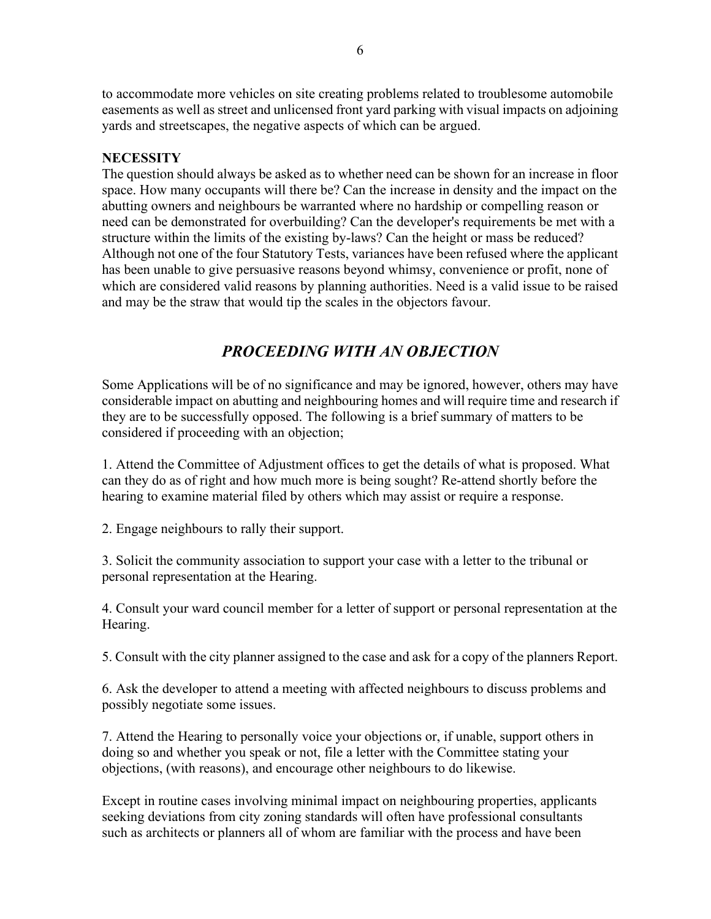to accommodate more vehicles on site creating problems related to troublesome automobile easements as well as street and unlicensed front yard parking with visual impacts on adjoining yards and streetscapes, the negative aspects of which can be argued.

#### **NECESSITY**

The question should always be asked as to whether need can be shown for an increase in floor space. How many occupants will there be? Can the increase in density and the impact on the abutting owners and neighbours be warranted where no hardship or compelling reason or need can be demonstrated for overbuilding? Can the developer's requirements be met with a structure within the limits of the existing by-laws? Can the height or mass be reduced? Although not one of the four Statutory Tests, variances have been refused where the applicant has been unable to give persuasive reasons beyond whimsy, convenience or profit, none of which are considered valid reasons by planning authorities. Need is a valid issue to be raised and may be the straw that would tip the scales in the objectors favour.

# *PROCEEDING WITH AN OBJECTION*

Some Applications will be of no significance and may be ignored, however, others may have considerable impact on abutting and neighbouring homes and will require time and research if they are to be successfully opposed. The following is a brief summary of matters to be considered if proceeding with an objection;

1. Attend the Committee of Adjustment offices to get the details of what is proposed. What can they do as of right and how much more is being sought? Re-attend shortly before the hearing to examine material filed by others which may assist or require a response.

2. Engage neighbours to rally their support.

3. Solicit the community association to support your case with a letter to the tribunal or personal representation at the Hearing.

4. Consult your ward council member for a letter of support or personal representation at the Hearing.

5. Consult with the city planner assigned to the case and ask for a copy of the planners Report.

6. Ask the developer to attend a meeting with affected neighbours to discuss problems and possibly negotiate some issues.

7. Attend the Hearing to personally voice your objections or, if unable, support others in doing so and whether you speak or not, file a letter with the Committee stating your objections, (with reasons), and encourage other neighbours to do likewise.

Except in routine cases involving minimal impact on neighbouring properties, applicants seeking deviations from city zoning standards will often have professional consultants such as architects or planners all of whom are familiar with the process and have been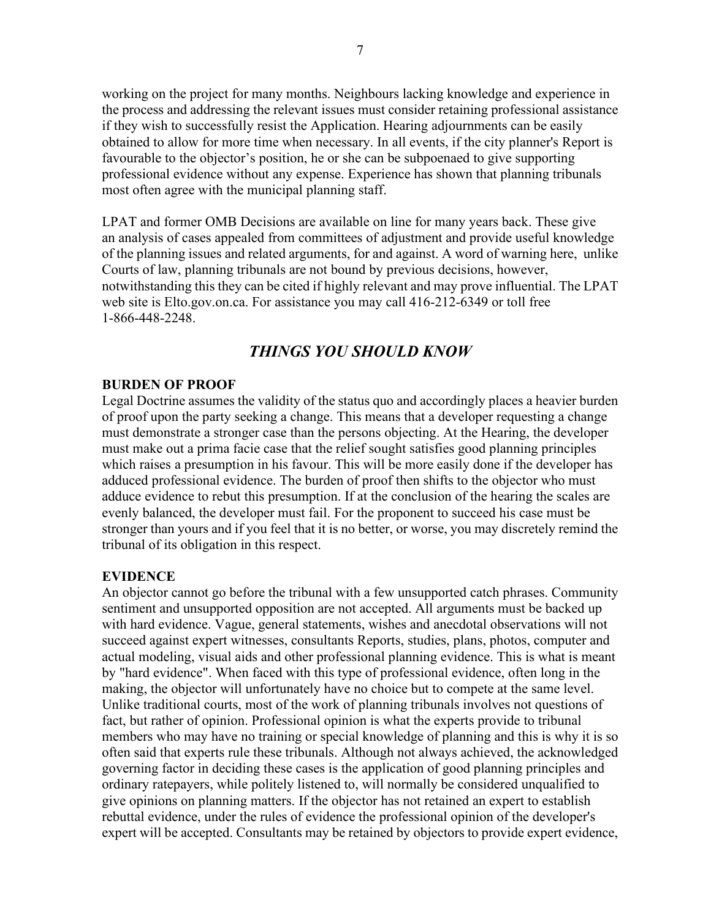working on the project for many months. Neighbours lacking knowledge and experience in the process and addressing the relevant issues must consider retaining professional assistance if they wish to successfully resist the Application. Hearing adjournments can be easily obtained to allow for more time when necessary. In all events, if the city planner's Report is favourable to the objector's position, he or she can be subpoenaed to give supporting professional evidence without any expense. Experience has shown that planning tribunals most often agree with the municipal planning staff.

LPAT and former OMB Decisions are available on line for many years back. These give an analysis of cases appealed from committees of adjustment and provide useful knowledge of the planning issues and related arguments, for and against. A word of warning here, unlike Courts of law, planning tribunals are not bound by previous decisions, however, notwithstanding this they can be cited if highly relevant and may prove influential. The LPAT web site is Elto.gov.on.ca. For assistance you may call 416-212-6349 or toll free 1-866-448-2248.

# *THINGS YOU SHOULD KNOW*

#### **BURDEN OF PROOF**

Legal Doctrine assumes the validity of the status quo and accordingly places a heavier burden of proof upon the party seeking a change. This means that a developer requesting a change must demonstrate a stronger case than the persons objecting. At the Hearing, the developer must make out a prima facie case that the relief sought satisfies good planning principles which raises a presumption in his favour. This will be more easily done if the developer has adduced professional evidence. The burden of proof then shifts to the objector who must adduce evidence to rebut this presumption. If at the conclusion of the hearing the scales are evenly balanced, the developer must fail. For the proponent to succeed his case must be stronger than yours and if you feel that it is no better, or worse, you may discretely remind the tribunal of its obligation in this respect.

#### **EVIDENCE**

An objector cannot go before the tribunal with a few unsupported catch phrases. Community sentiment and unsupported opposition are not accepted. All arguments must be backed up with hard evidence. Vague, general statements, wishes and anecdotal observations will not succeed against expert witnesses, consultants Reports, studies, plans, photos, computer and actual modeling, visual aids and other professional planning evidence. This is what is meant by "hard evidence". When faced with this type of professional evidence, often long in the making, the objector will unfortunately have no choice but to compete at the same level. Unlike traditional courts, most of the work of planning tribunals involves not questions of fact, but rather of opinion. Professional opinion is what the experts provide to tribunal members who may have no training or special knowledge of planning and this is why it is so often said that experts rule these tribunals. Although not always achieved, the acknowledged governing factor in deciding these cases is the application of good planning principles and ordinary ratepayers, while politely listened to, will normally be considered unqualified to give opinions on planning matters. If the objector has not retained an expert to establish rebuttal evidence, under the rules of evidence the professional opinion of the developer's expert will be accepted. Consultants may be retained by objectors to provide expert evidence,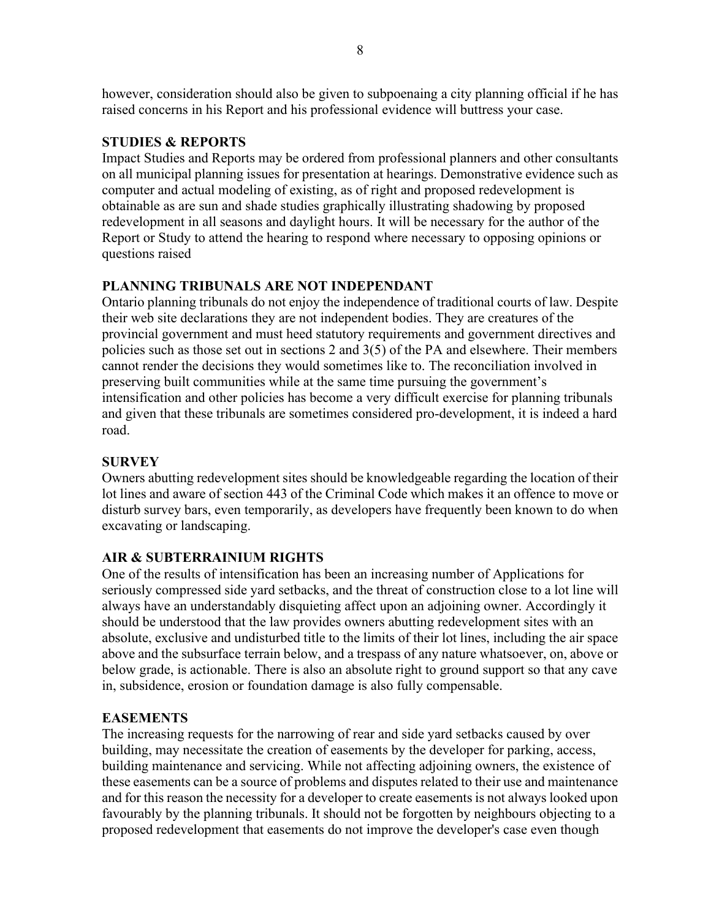however, consideration should also be given to subpoenaing a city planning official if he has raised concerns in his Report and his professional evidence will buttress your case.

#### **STUDIES & REPORTS**

Impact Studies and Reports may be ordered from professional planners and other consultants on all municipal planning issues for presentation at hearings. Demonstrative evidence such as computer and actual modeling of existing, as of right and proposed redevelopment is obtainable as are sun and shade studies graphically illustrating shadowing by proposed redevelopment in all seasons and daylight hours. It will be necessary for the author of the Report or Study to attend the hearing to respond where necessary to opposing opinions or questions raised

#### **PLANNING TRIBUNALS ARE NOT INDEPENDANT**

Ontario planning tribunals do not enjoy the independence of traditional courts of law. Despite their web site declarations they are not independent bodies. They are creatures of the provincial government and must heed statutory requirements and government directives and policies such as those set out in sections 2 and 3(5) of the PA and elsewhere. Their members cannot render the decisions they would sometimes like to. The reconciliation involved in preserving built communities while at the same time pursuing the government's intensification and other policies has become a very difficult exercise for planning tribunals and given that these tribunals are sometimes considered pro-development, it is indeed a hard road.

#### **SURVEY**

Owners abutting redevelopment sites should be knowledgeable regarding the location of their lot lines and aware of section 443 of the Criminal Code which makes it an offence to move or disturb survey bars, even temporarily, as developers have frequently been known to do when excavating or landscaping.

#### **AIR & SUBTERRAINIUM RIGHTS**

One of the results of intensification has been an increasing number of Applications for seriously compressed side yard setbacks, and the threat of construction close to a lot line will always have an understandably disquieting affect upon an adjoining owner. Accordingly it should be understood that the law provides owners abutting redevelopment sites with an absolute, exclusive and undisturbed title to the limits of their lot lines, including the air space above and the subsurface terrain below, and a trespass of any nature whatsoever, on, above or below grade, is actionable. There is also an absolute right to ground support so that any cave in, subsidence, erosion or foundation damage is also fully compensable.

#### **EASEMENTS**

The increasing requests for the narrowing of rear and side yard setbacks caused by over building, may necessitate the creation of easements by the developer for parking, access, building maintenance and servicing. While not affecting adjoining owners, the existence of these easements can be a source of problems and disputes related to their use and maintenance and for this reason the necessity for a developer to create easements is not always looked upon favourably by the planning tribunals. It should not be forgotten by neighbours objecting to a proposed redevelopment that easements do not improve the developer's case even though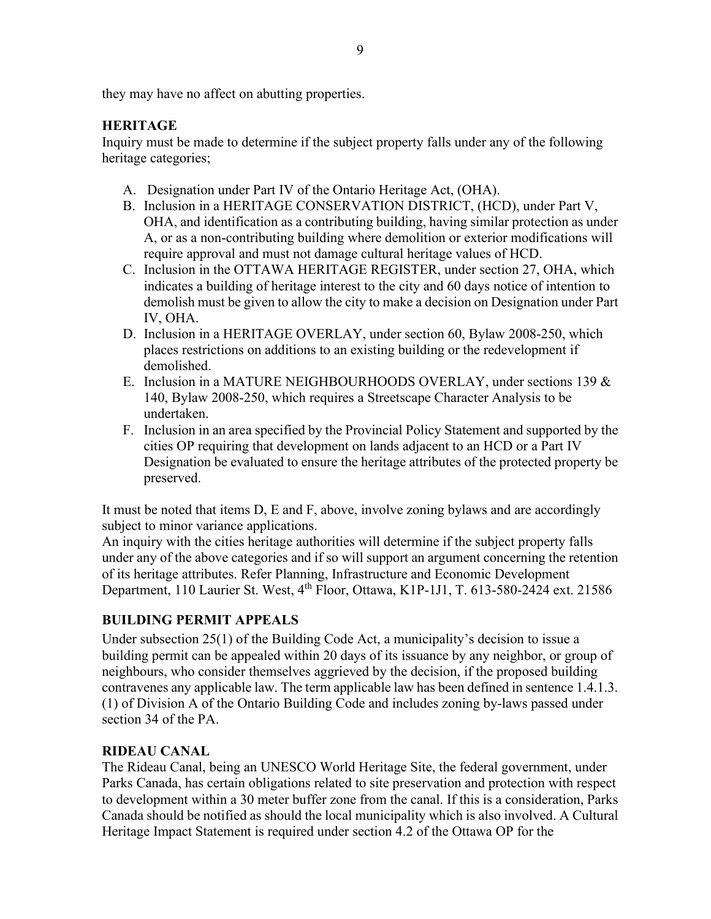they may have no affect on abutting properties.

# **HERITAGE**

Inquiry must be made to determine if the subject property falls under any of the following heritage categories;

- A. Designation under Part IV of the Ontario Heritage Act, (OHA).
- B. Inclusion in a HERITAGE CONSERVATION DISTRICT, (HCD), under Part V, OHA, and identification as a contributing building, having similar protection as under A, or as a non-contributing building where demolition or exterior modifications will require approval and must not damage cultural heritage values of HCD.
- C. Inclusion in the OTTAWA HERITAGE REGISTER, under section 27, OHA, which indicates a building of heritage interest to the city and 60 days notice of intention to demolish must be given to allow the city to make a decision on Designation under Part IV, OHA.
- D. Inclusion in a HERITAGE OVERLAY, under section 60, Bylaw 2008-250, which places restrictions on additions to an existing building or the redevelopment if demolished.
- E. Inclusion in a MATURE NEIGHBOURHOODS OVERLAY, under sections 139 & 140, Bylaw 2008-250, which requires a Streetscape Character Analysis to be undertaken.
- F. Inclusion in an area specified by the Provincial Policy Statement and supported by the cities OP requiring that development on lands adjacent to an HCD or a Part IV Designation be evaluated to ensure the heritage attributes of the protected property be preserved.

It must be noted that items D, E and F, above, involve zoning bylaws and are accordingly subject to minor variance applications.

An inquiry with the cities heritage authorities will determine if the subject property falls under any of the above categories and if so will support an argument concerning the retention of its heritage attributes. Refer Planning, Infrastructure and Economic Development Department, 110 Laurier St. West, 4th Floor, Ottawa, K1P-1J1, T. 613-580-2424 ext. 21586

# **BUILDING PERMIT APPEALS**

Under subsection 25(1) of the Building Code Act, a municipality's decision to issue a building permit can be appealed within 20 days of its issuance by any neighbor, or group of neighbours, who consider themselves aggrieved by the decision, if the proposed building contravenes any applicable law. The term applicable law has been defined in sentence 1.4.1.3. (1) of Division A of the Ontario Building Code and includes zoning by-laws passed under section 34 of the PA.

# **RIDEAU CANAL**

The Rideau Canal, being an UNESCO World Heritage Site, the federal government, under Parks Canada, has certain obligations related to site preservation and protection with respect to development within a 30 meter buffer zone from the canal. If this is a consideration, Parks Canada should be notified as should the local municipality which is also involved. A Cultural Heritage Impact Statement is required under section 4.2 of the Ottawa OP for the